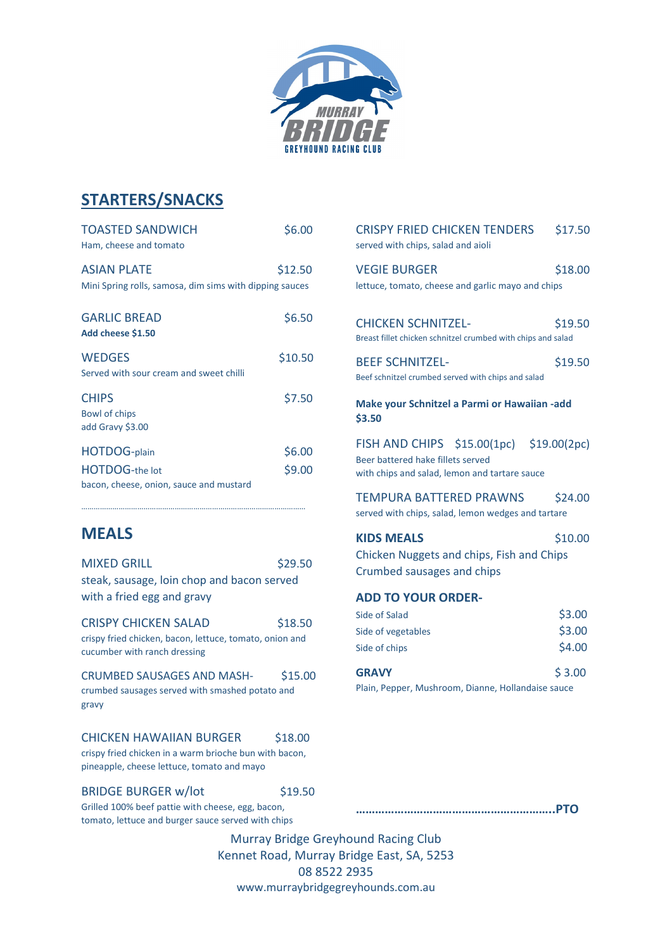

## **STARTERS/SNACKS**

| <b>TOASTED SANDWICH</b><br>Ham, cheese and tomato                             | \$6.00  |
|-------------------------------------------------------------------------------|---------|
| <b>ASIAN PLATE</b><br>Mini Spring rolls, samosa, dim sims with dipping sauces | \$12.50 |
| <b>GARLIC BREAD</b><br>Add cheese \$1.50                                      | \$6.50  |
| <b>WEDGES</b><br>Served with sour cream and sweet chilli                      | \$10.50 |
| <b>CHIPS</b><br>Bowl of chips<br>add Gravy \$3.00                             | \$7.50  |
| <b>HOTDOG-plain</b>                                                           | \$6.00  |
| <b>HOTDOG-the lot</b><br>bacon, cheese, onion, sauce and mustard              | \$9.00  |

………………………………………………………………………………………………

## **MEALS**

| <b>MIXED GRILL</b>                                                                                                                    | \$29.50                |
|---------------------------------------------------------------------------------------------------------------------------------------|------------------------|
| steak, sausage, loin chop and bacon served<br>with a fried egg and gravy                                                              |                        |
| <b>CRISPY CHICKEN SALAD</b><br>crispy fried chicken, bacon, lettuce, tomato, onion and<br>cucumber with ranch dressing                | \$18.50                |
| CRUMBED SAUSAGES AND MASH-<br>crumbed sausages served with smashed potato and<br>gravy                                                | \$15.00                |
| CHICKEN HAWAIIAN BURGER<br>crispy fried chicken in a warm brioche bun with bacon,<br>pineapple, cheese lettuce, tomato and mayo       | \$18.00                |
| <b>BRIDGE BURGER w/lot</b><br>Grilled 100% beef pattie with cheese, egg, bacon,<br>tomato, lettuce and burger sauce served with chips | \$19.50                |
| سنبار المصدر المصدمين                                                                                                                 | <b>Murray Bridge 0</b> |

| CRISPY FRIED CHICKEN TENDERS<br>served with chips, salad and aioli                                                             | \$17.50                    |  |
|--------------------------------------------------------------------------------------------------------------------------------|----------------------------|--|
| <b>VEGIE BURGER</b><br>lettuce, tomato, cheese and garlic mayo and chips                                                       | \$18.00                    |  |
| <b>CHICKEN SCHNITZEL-</b><br>Breast fillet chicken schnitzel crumbed with chips and salad                                      | \$19.50                    |  |
| <b>BEEF SCHNITZEL-</b><br>Beef schnitzel crumbed served with chips and salad                                                   | \$19.50                    |  |
| <b>Make your Schnitzel a Parmi or Hawaiian -add</b><br>\$3.50                                                                  |                            |  |
| FISH AND CHIPS \$15.00(1pc) \$19.00(2pc)<br>Beer battered hake fillets served<br>with chips and salad, lemon and tartare sauce |                            |  |
| TEMPURA BATTERED PRAWNS<br>\$24.00<br>served with chips, salad, lemon wedges and tartare                                       |                            |  |
| <b>KIDS MEALS</b><br>Chicken Nuggets and chips, Fish and Chips<br>Crumbed sausages and chips                                   | \$10.00                    |  |
| <b>ADD TO YOUR ORDER-</b>                                                                                                      |                            |  |
| Side of Salad<br>Side of vegetables<br>Side of chips                                                                           | \$3.00<br>\$3.00<br>\$4.00 |  |
| <b>GRAVY</b><br>Plain, Pepper, Mushroom, Dianne, Hollandaise sauce                                                             | \$3.00                     |  |
|                                                                                                                                |                            |  |

**……………………………………………………..PTO**

Greyhound Racing Club Kennet Road, Murray Bridge East, SA, 5253 08 8522 2935 www.murraybridgegreyhounds.com.au